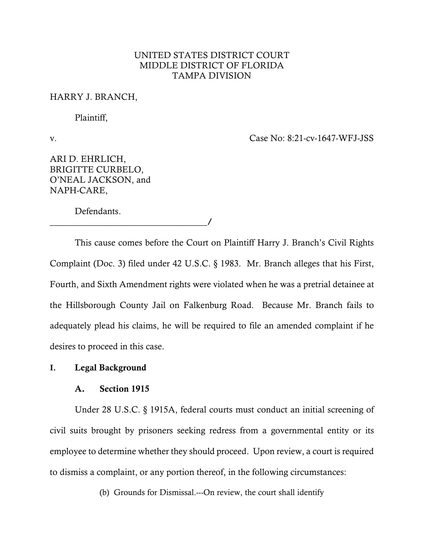# UNITED STATES DISTRICT COURT MIDDLE DISTRICT OF FLORIDA TAMPA DIVISION

### HARRY J. BRANCH,

Plaintiff,

v. Case No: 8:21-cv-1647-WFJ-JSS

ARI D. EHRLICH, BRIGITTE CURBELO, O'NEAL JACKSON, and NAPH-CARE,

Defendants.

\_\_\_\_\_\_\_\_\_\_\_\_\_\_\_\_\_\_\_\_\_\_\_\_\_\_\_\_\_\_\_\_\_\_\_/ This cause comes before the Court on Plaintiff Harry J. Branch's Civil Rights Complaint (Doc. 3) filed under 42 U.S.C. § 1983. Mr. Branch alleges that his First, Fourth, and Sixth Amendment rights were violated when he was a pretrial detainee at the Hillsborough County Jail on Falkenburg Road. Because Mr. Branch fails to adequately plead his claims, he will be required to file an amended complaint if he desires to proceed in this case.

# **I.** Legal Background

## A. Section 1915

Under 28 U.S.C. § 1915A, federal courts must conduct an initial screening of civil suits brought by prisoners seeking redress from a governmental entity or its employee to determine whether they should proceed. Upon review, a court is required to dismiss a complaint, or any portion thereof, in the following circumstances:

(b) Grounds for Dismissal.---On review, the court shall identify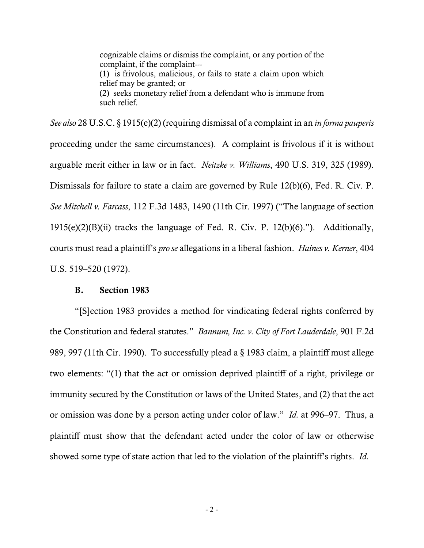cognizable claims or dismiss the complaint, or any portion of the complaint, if the complaint--- (1) is frivolous, malicious, or fails to state a claim upon which relief may be granted; or (2) seeks monetary relief from a defendant who is immune from such relief.

*See also* 28 U.S.C. § 1915(e)(2) (requiring dismissal of a complaint in an *in forma pauperis* proceeding under the same circumstances). A complaint is frivolous if it is without arguable merit either in law or in fact. *Neitzke v. Williams*, 490 U.S. 319, 325 (1989). Dismissals for failure to state a claim are governed by Rule 12(b)(6), Fed. R. Civ. P. *See Mitchell v. Farcass*, 112 F.3d 1483, 1490 (11th Cir. 1997) ("The language of section  $1915(e)(2)(B)(ii)$  tracks the language of Fed. R. Civ. P. 12(b)(6)."). Additionally, courts must read a plaintiff's *pro se* allegations in a liberal fashion. *Haines v. Kerner*, 404 U.S. 519–520 (1972).

## B. Section 1983

"[S]ection 1983 provides a method for vindicating federal rights conferred by the Constitution and federal statutes." *Bannum, Inc. v. City of Fort Lauderdale*, 901 F.2d 989, 997 (11th Cir. 1990). To successfully plead a § 1983 claim, a plaintiff must allege two elements: "(1) that the act or omission deprived plaintiff of a right, privilege or immunity secured by the Constitution or laws of the United States, and (2) that the act or omission was done by a person acting under color of law." *Id.* at 996–97. Thus, a plaintiff must show that the defendant acted under the color of law or otherwise showed some type of state action that led to the violation of the plaintiff's rights. *Id.*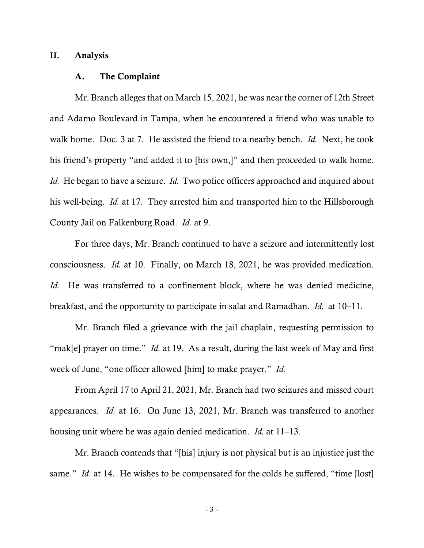## **II.** Analysis

#### A. The Complaint

Mr. Branch alleges that on March 15, 2021, he was near the corner of 12th Street and Adamo Boulevard in Tampa, when he encountered a friend who was unable to walk home. Doc. 3 at 7. He assisted the friend to a nearby bench. *Id.* Next, he took his friend's property "and added it to [his own,]" and then proceeded to walk home. *Id.* He began to have a seizure. *Id.* Two police officers approached and inquired about his well-being. *Id.* at 17. They arrested him and transported him to the Hillsborough County Jail on Falkenburg Road. *Id.* at 9.

For three days, Mr. Branch continued to have a seizure and intermittently lost consciousness. *Id.* at 10. Finally, on March 18, 2021, he was provided medication. *Id.* He was transferred to a confinement block, where he was denied medicine, breakfast, and the opportunity to participate in salat and Ramadhan. *Id.* at 10–11.

Mr. Branch filed a grievance with the jail chaplain, requesting permission to "mak[e] prayer on time." *Id.* at 19. As a result, during the last week of May and first week of June, "one officer allowed [him] to make prayer." *Id.*

From April 17 to April 21, 2021, Mr. Branch had two seizures and missed court appearances. *Id.* at 16. On June 13, 2021, Mr. Branch was transferred to another housing unit where he was again denied medication. *Id.* at 11–13.

Mr. Branch contends that "[his] injury is not physical but is an injustice just the same." *Id*. at 14. He wishes to be compensated for the colds he suffered, "time [lost]

- 3 -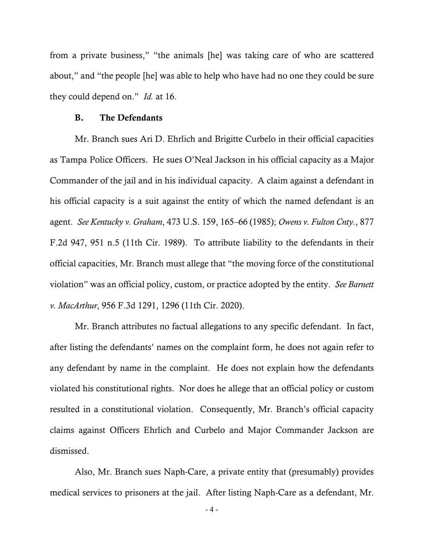from a private business," "the animals [he] was taking care of who are scattered about," and "the people [he] was able to help who have had no one they could be sure they could depend on." *Id.* at 16.

## B. The Defendants

Mr. Branch sues Ari D. Ehrlich and Brigitte Curbelo in their official capacities as Tampa Police Officers. He sues O'Neal Jackson in his official capacity as a Major Commander of the jail and in his individual capacity. A claim against a defendant in his official capacity is a suit against the entity of which the named defendant is an agent. *See Kentucky v. Graham*, 473 U.S. 159, 165–66 (1985); *Owens v. Fulton Cnty.*, 877 F.2d 947, 951 n.5 (11th Cir. 1989). To attribute liability to the defendants in their official capacities, Mr. Branch must allege that "the moving force of the constitutional violation" was an official policy, custom, or practice adopted by the entity. *See Barnett v. MacArthur*, 956 F.3d 1291, 1296 (11th Cir. 2020).

Mr. Branch attributes no factual allegations to any specific defendant. In fact, after listing the defendants' names on the complaint form, he does not again refer to any defendant by name in the complaint. He does not explain how the defendants violated his constitutional rights. Nor does he allege that an official policy or custom resulted in a constitutional violation. Consequently, Mr. Branch's official capacity claims against Officers Ehrlich and Curbelo and Major Commander Jackson are dismissed.

Also, Mr. Branch sues Naph-Care, a private entity that (presumably) provides medical services to prisoners at the jail. After listing Naph-Care as a defendant, Mr.

- 4 -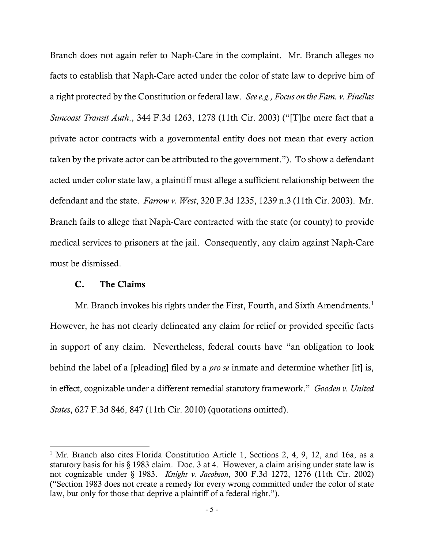Branch does not again refer to Naph-Care in the complaint. Mr. Branch alleges no facts to establish that Naph-Care acted under the color of state law to deprive him of a right protected by the Constitution or federal law. *See e.g., Focus on the Fam. v. Pinellas Suncoast Transit Auth*., 344 F.3d 1263, 1278 (11th Cir. 2003) ("[T]he mere fact that a private actor contracts with a governmental entity does not mean that every action taken by the private actor can be attributed to the government."). To show a defendant acted under color state law, a plaintiff must allege a sufficient relationship between the defendant and the state. *Farrow v. West*, 320 F.3d 1235, 1239 n.3 (11th Cir. 2003). Mr. Branch fails to allege that Naph-Care contracted with the state (or county) to provide medical services to prisoners at the jail. Consequently, any claim against Naph-Care must be dismissed.

## C. The Claims

Mr. Branch invokes his rights under the First, Fourth, and Sixth Amendments.<sup>[1](#page-4-0)</sup> However, he has not clearly delineated any claim for relief or provided specific facts in support of any claim. Nevertheless, federal courts have "an obligation to look behind the label of a [pleading] filed by a *pro se* inmate and determine whether [it] is, in effect, cognizable under a different remedial statutory framework." *Gooden v. United States*, 627 F.3d 846, 847 (11th Cir. 2010) (quotations omitted).

<span id="page-4-0"></span><sup>&</sup>lt;sup>1</sup> Mr. Branch also cites Florida Constitution Article 1, Sections 2, 4, 9, 12, and 16a, as a statutory basis for his § 1983 claim. Doc. 3 at 4. However, a claim arising under state law is not cognizable under § 1983. *Knight v. Jacobson*, 300 F.3d 1272, 1276 (11th Cir. 2002) ("Section 1983 does not create a remedy for every wrong committed under the color of state law, but only for those that deprive a plaintiff of a federal right.").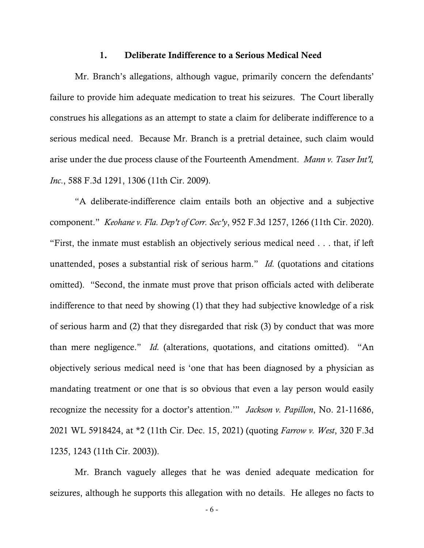#### 1. Deliberate Indifference to a Serious Medical Need

Mr. Branch's allegations, although vague, primarily concern the defendants' failure to provide him adequate medication to treat his seizures. The Court liberally construes his allegations as an attempt to state a claim for deliberate indifference to a serious medical need. Because Mr. Branch is a pretrial detainee, such claim would arise under the due process clause of the Fourteenth Amendment. *Mann v. Taser Int'l, Inc*., 588 F.3d 1291, 1306 (11th Cir. 2009).

"A deliberate-indifference claim entails both an objective and a subjective component." *Keohane v. Fla. Dep't of Corr. Sec'y*, 952 F.3d 1257, 1266 (11th Cir. 2020). "First, the inmate must establish an objectively serious medical need . . . that, if left unattended, poses a substantial risk of serious harm." *Id.* (quotations and citations omitted). "Second, the inmate must prove that prison officials acted with deliberate indifference to that need by showing (1) that they had subjective knowledge of a risk of serious harm and (2) that they disregarded that risk (3) by conduct that was more than mere negligence." *Id.* (alterations, quotations, and citations omitted). "An objectively serious medical need is 'one that has been diagnosed by a physician as mandating treatment or one that is so obvious that even a lay person would easily recognize the necessity for a doctor's attention.'" *Jackson v. Papillon*, No. 21-11686, 2021 WL 5918424, at \*2 (11th Cir. Dec. 15, 2021) (quoting *Farrow v. West*, 320 F.3d 1235, 1243 (11th Cir. 2003)).

Mr. Branch vaguely alleges that he was denied adequate medication for seizures, although he supports this allegation with no details. He alleges no facts to

- 6 -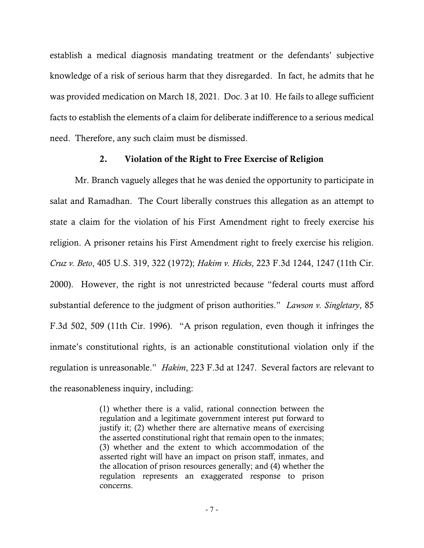establish a medical diagnosis mandating treatment or the defendants' subjective knowledge of a risk of serious harm that they disregarded. In fact, he admits that he was provided medication on March 18, 2021. Doc. 3 at 10. He fails to allege sufficient facts to establish the elements of a claim for deliberate indifference to a serious medical need. Therefore, any such claim must be dismissed.

## 2. Violation of the Right to Free Exercise of Religion

Mr. Branch vaguely alleges that he was denied the opportunity to participate in salat and Ramadhan. The Court liberally construes this allegation as an attempt to state a claim for the violation of his First Amendment right to freely exercise his religion. A prisoner retains his First Amendment right to freely exercise his religion. *Cruz v. Beto*, 405 U.S. 319, 322 (1972); *Hakim v. Hicks*, 223 F.3d 1244, 1247 (11th Cir. 2000). However, the right is not unrestricted because "federal courts must afford substantial deference to the judgment of prison authorities." *Lawson v. Singletary*, 85 F.3d 502, 509 (11th Cir. 1996). "A prison regulation, even though it infringes the inmate's constitutional rights, is an actionable constitutional violation only if the regulation is unreasonable." *Hakim*, 223 F.3d at 1247. Several factors are relevant to the reasonableness inquiry, including:

> (1) whether there is a valid, rational connection between the regulation and a legitimate government interest put forward to justify it; (2) whether there are alternative means of exercising the asserted constitutional right that remain open to the inmates; (3) whether and the extent to which accommodation of the asserted right will have an impact on prison staff, inmates, and the allocation of prison resources generally; and (4) whether the regulation represents an exaggerated response to prison concerns.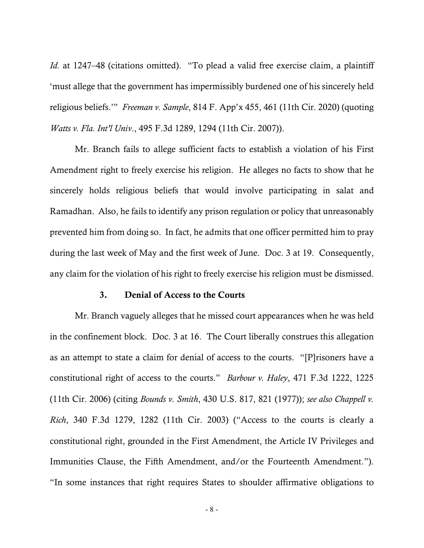*Id.* at 1247–48 (citations omitted). "To plead a valid free exercise claim, a plaintiff 'must allege that the government has impermissibly burdened one of his sincerely held religious beliefs.'" *Freeman v. Sample*, 814 F. App'x 455, 461 (11th Cir. 2020) (quoting *Watts v. Fla. Int'l Univ*., 495 F.3d 1289, 1294 (11th Cir. 2007)).

Mr. Branch fails to allege sufficient facts to establish a violation of his First Amendment right to freely exercise his religion. He alleges no facts to show that he sincerely holds religious beliefs that would involve participating in salat and Ramadhan. Also, he fails to identify any prison regulation or policy that unreasonably prevented him from doing so. In fact, he admits that one officer permitted him to pray during the last week of May and the first week of June. Doc. 3 at 19. Consequently, any claim for the violation of his right to freely exercise his religion must be dismissed.

## 3. Denial of Access to the Courts

Mr. Branch vaguely alleges that he missed court appearances when he was held in the confinement block. Doc. 3 at 16. The Court liberally construes this allegation as an attempt to state a claim for denial of access to the courts. "[P]risoners have a constitutional right of access to the courts." *Barbour v. Haley*, 471 F.3d 1222, 1225 (11th Cir. 2006) (citing *Bounds v. Smith*, 430 U.S. 817, 821 (1977)); *see also Chappell v. Rich*, 340 F.3d 1279, 1282 (11th Cir. 2003) ("Access to the courts is clearly a constitutional right, grounded in the First Amendment, the Article IV Privileges and Immunities Clause, the Fifth Amendment, and/or the Fourteenth Amendment."). "In some instances that right requires States to shoulder affirmative obligations to

- 8 -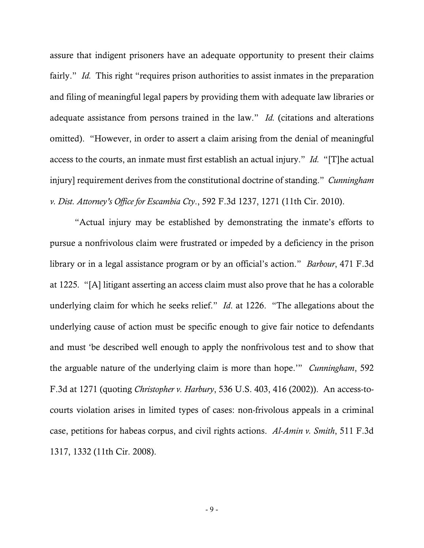assure that indigent prisoners have an adequate opportunity to present their claims fairly." *Id.* This right "requires prison authorities to assist inmates in the preparation and filing of meaningful legal papers by providing them with adequate law libraries or adequate assistance from persons trained in the law." *Id.* (citations and alterations omitted). "However, in order to assert a claim arising from the denial of meaningful access to the courts, an inmate must first establish an actual injury." *Id.* "[T]he actual injury] requirement derives from the constitutional doctrine of standing." *Cunningham v. Dist. Attorney's Office for Escambia Cty*., 592 F.3d 1237, 1271 (11th Cir. 2010).

"Actual injury may be established by demonstrating the inmate's efforts to pursue a nonfrivolous claim were frustrated or impeded by a deficiency in the prison library or in a legal assistance program or by an official's action." *Barbour*, 471 F.3d at 1225*.* "[A] litigant asserting an access claim must also prove that he has a colorable underlying claim for which he seeks relief." *Id*. at 1226. "The allegations about the underlying cause of action must be specific enough to give fair notice to defendants and must 'be described well enough to apply the nonfrivolous test and to show that the arguable nature of the underlying claim is more than hope.'" *Cunningham*, 592 F.3d at 1271 (quoting *Christopher v. Harbury*, 536 U.S. 403, 416 (2002)). An access-tocourts violation arises in limited types of cases: non-frivolous appeals in a criminal case, petitions for habeas corpus, and civil rights actions. *Al-Amin v. Smith*, 511 F.3d 1317, 1332 (11th Cir. 2008).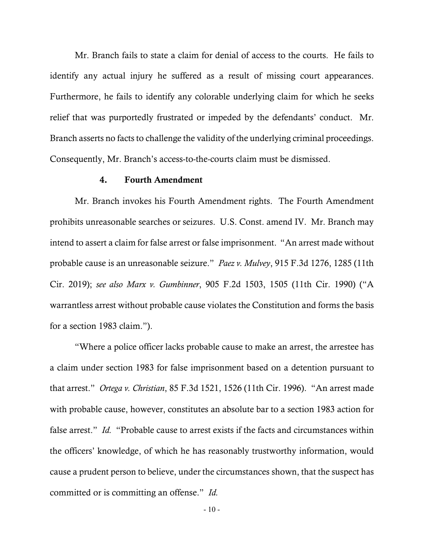Mr. Branch fails to state a claim for denial of access to the courts. He fails to identify any actual injury he suffered as a result of missing court appearances. Furthermore, he fails to identify any colorable underlying claim for which he seeks relief that was purportedly frustrated or impeded by the defendants' conduct. Mr. Branch asserts no facts to challenge the validity of the underlying criminal proceedings. Consequently, Mr. Branch's access-to-the-courts claim must be dismissed.

## 4. Fourth Amendment

Mr. Branch invokes his Fourth Amendment rights. The Fourth Amendment prohibits unreasonable searches or seizures. U.S. Const. amend IV. Mr. Branch may intend to assert a claim for false arrest or false imprisonment. "An arrest made without probable cause is an unreasonable seizure." *Paez v. Mulvey*, 915 F.3d 1276, 1285 (11th Cir. 2019); *see also Marx v. Gumbinner*, 905 F.2d 1503, 1505 (11th Cir. 1990) ("A warrantless arrest without probable cause violates the Constitution and forms the basis for a section 1983 claim.").

"Where a police officer lacks probable cause to make an arrest, the arrestee has a claim under section 1983 for false imprisonment based on a detention pursuant to that arrest." *Ortega v. Christian*, 85 F.3d 1521, 1526 (11th Cir. 1996). "An arrest made with probable cause, however, constitutes an absolute bar to a section 1983 action for false arrest." *Id.* "Probable cause to arrest exists if the facts and circumstances within the officers' knowledge, of which he has reasonably trustworthy information, would cause a prudent person to believe, under the circumstances shown, that the suspect has committed or is committing an offense." *Id.*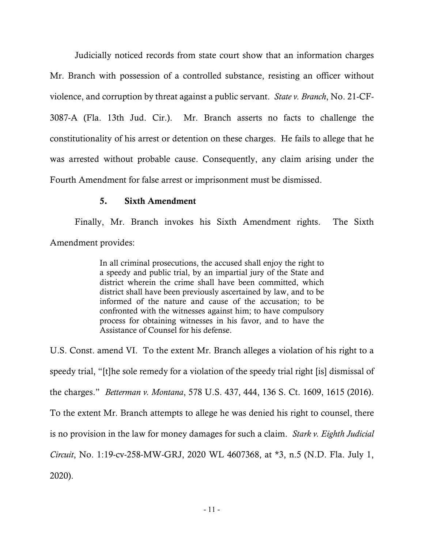Judicially noticed records from state court show that an information charges Mr. Branch with possession of a controlled substance, resisting an officer without violence, and corruption by threat against a public servant. *State v. Branch*, No. 21-CF-3087-A (Fla. 13th Jud. Cir.).Mr. Branch asserts no facts to challenge the constitutionality of his arrest or detention on these charges. He fails to allege that he was arrested without probable cause. Consequently, any claim arising under the Fourth Amendment for false arrest or imprisonment must be dismissed.

# 5. Sixth Amendment

Finally, Mr. Branch invokes his Sixth Amendment rights. The Sixth Amendment provides:

> In all criminal prosecutions, the accused shall enjoy the right to a speedy and public trial, by an impartial jury of the State and district wherein the crime shall have been committed, which district shall have been previously ascertained by law, and to be informed of the nature and cause of the accusation; to be confronted with the witnesses against him; to have compulsory process for obtaining witnesses in his favor, and to have the Assistance of Counsel for his defense.

U.S. Const. amend VI. To the extent Mr. Branch alleges a violation of his right to a speedy trial, "[t]he sole remedy for a violation of the speedy trial right [is] dismissal of the charges." *Betterman v. Montana*, 578 U.S. 437, 444, 136 S. Ct. 1609, 1615 (2016). To the extent Mr. Branch attempts to allege he was denied his right to counsel, there is no provision in the law for money damages for such a claim. *Stark v. Eighth Judicial Circuit*, No. 1:19-cv-258-MW-GRJ, 2020 WL 4607368, at \*3, n.5 (N.D. Fla. July 1, 2020).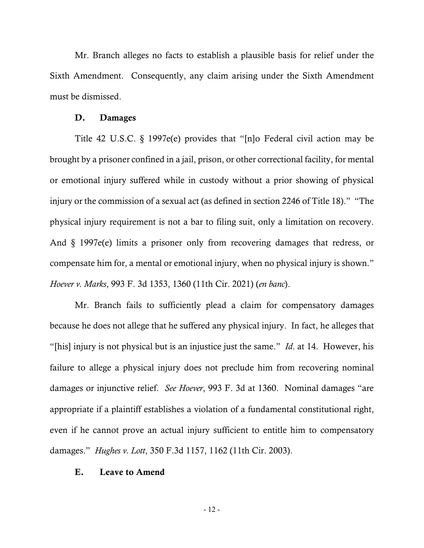Mr. Branch alleges no facts to establish a plausible basis for relief under the Sixth Amendment. Consequently, any claim arising under the Sixth Amendment must be dismissed.

#### D. Damages

Title 42 U.S.C. § 1997e(e) provides that "[n]o Federal civil action may be brought by a prisoner confined in a jail, prison, or other correctional facility, for mental or emotional injury suffered while in custody without a prior showing of physical injury or the commission of a sexual act (as defined in section 2246 of Title 18)." "The physical injury requirement is not a bar to filing suit, only a limitation on recovery. And § 1997e(e) limits a prisoner only from recovering damages that redress, or compensate him for, a mental or emotional injury, when no physical injury is shown." *Hoever v. Marks*, 993 F. 3d 1353, 1360 (11th Cir. 2021) (*en banc*).

Mr. Branch fails to sufficiently plead a claim for compensatory damages because he does not allege that he suffered any physical injury. In fact, he alleges that "[his] injury is not physical but is an injustice just the same." *Id*. at 14. However, his failure to allege a physical injury does not preclude him from recovering nominal damages or injunctive relief. *See Hoever*, 993 F. 3d at 1360. Nominal damages "are appropriate if a plaintiff establishes a violation of a fundamental constitutional right, even if he cannot prove an actual injury sufficient to entitle him to compensatory damages." *Hughes v. Lott*, 350 F.3d 1157, 1162 (11th Cir. 2003).

## E. Leave to Amend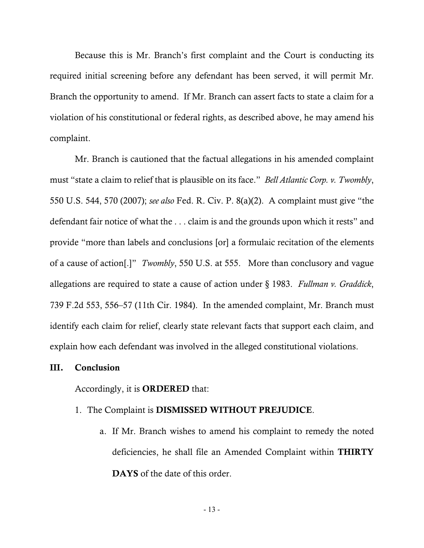Because this is Mr. Branch's first complaint and the Court is conducting its required initial screening before any defendant has been served, it will permit Mr. Branch the opportunity to amend. If Mr. Branch can assert facts to state a claim for a violation of his constitutional or federal rights, as described above, he may amend his complaint.

Mr. Branch is cautioned that the factual allegations in his amended complaint must "state a claim to relief that is plausible on its face." *Bell Atlantic Corp. v. Twombly*, 550 U.S. 544, 570 (2007); *see also* Fed. R. Civ. P. 8(a)(2). A complaint must give "the defendant fair notice of what the . . . claim is and the grounds upon which it rests" and provide "more than labels and conclusions [or] a formulaic recitation of the elements of a cause of action[.]" *Twombly*, 550 U.S. at 555. More than conclusory and vague allegations are required to state a cause of action under § 1983. *Fullman v. Graddick*, 739 F.2d 553, 556–57 (11th Cir. 1984). In the amended complaint, Mr. Branch must identify each claim for relief, clearly state relevant facts that support each claim, and explain how each defendant was involved in the alleged constitutional violations.

## III. Conclusion

## Accordingly, it is ORDERED that:

- 1. The Complaint is DISMISSED WITHOUT PREJUDICE.
	- a. If Mr. Branch wishes to amend his complaint to remedy the noted deficiencies, he shall file an Amended Complaint within THIRTY DAYS of the date of this order.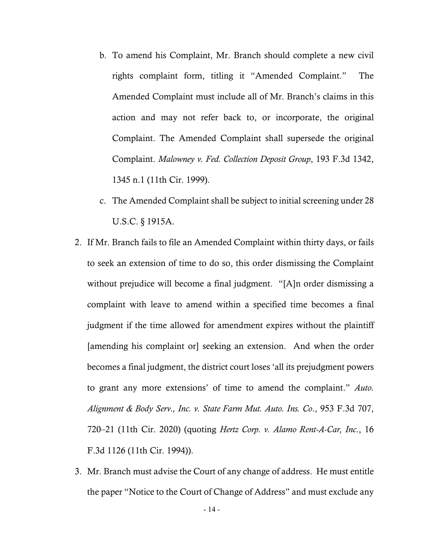- b. To amend his Complaint, Mr. Branch should complete a new civil rights complaint form, titling it "Amended Complaint." The Amended Complaint must include all of Mr. Branch's claims in this action and may not refer back to, or incorporate, the original Complaint. The Amended Complaint shall supersede the original Complaint. *Malowney v. Fed. Collection Deposit Group*, 193 F.3d 1342, 1345 n.1 (11th Cir. 1999).
- c. The Amended Complaint shall be subject to initial screening under 28 U.S.C. § 1915A.
- 2. If Mr. Branch fails to file an Amended Complaint within thirty days, or fails to seek an extension of time to do so, this order dismissing the Complaint without prejudice will become a final judgment. "[A]n order dismissing a complaint with leave to amend within a specified time becomes a final judgment if the time allowed for amendment expires without the plaintiff [amending his complaint or] seeking an extension. And when the order becomes a final judgment, the district court loses 'all its prejudgment powers to grant any more extensions' of time to amend the complaint." *Auto. Alignment & Body Serv., Inc. v. State Farm Mut. Auto. Ins. Co*., 953 F.3d 707, 720–21 (11th Cir. 2020) (quoting *Hertz Corp. v. Alamo Rent-A-Car, Inc*., 16 F.3d 1126 (11th Cir. 1994)).
- 3. Mr. Branch must advise the Court of any change of address. He must entitle the paper "Notice to the Court of Change of Address" and must exclude any